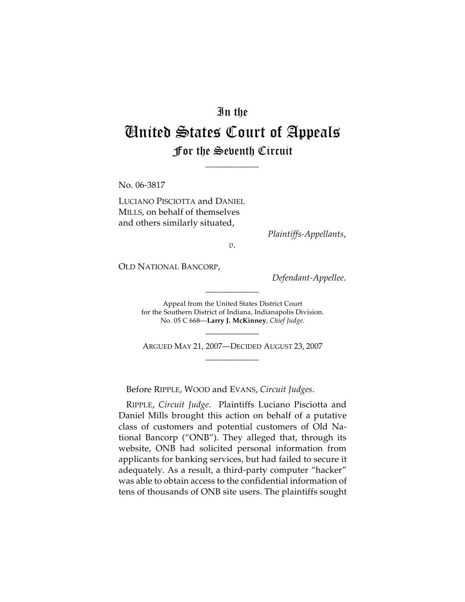# In the

# United States Court of Appeals For the Seventh Circuit

\_\_\_\_\_\_\_\_\_\_\_\_

No. 06-3817

LUCIANO PISCIOTTA and DANIEL MILLS, on behalf of themselves and others similarly situated,

*Plaintiffs-Appellants*,

*v*.

OLD NATIONAL BANCORP,

*Defendant-Appellee*.

Appeal from the United States District Court for the Southern District of Indiana, Indianapolis Division. No. 05 C 668—**Larry J. McKinney**, *Chief Judge.*

\_\_\_\_\_\_\_\_\_\_\_\_

ARGUED MAY 21, 2007—DECIDED AUGUST 23, 2007 \_\_\_\_\_\_\_\_\_\_\_\_

\_\_\_\_\_\_\_\_\_\_\_\_

Before RIPPLE, WOOD and EVANS, *Circuit Judges*.

RIPPLE, *Circuit Judge*. Plaintiffs Luciano Pisciotta and Daniel Mills brought this action on behalf of a putative class of customers and potential customers of Old National Bancorp ("ONB"). They alleged that, through its website, ONB had solicited personal information from applicants for banking services, but had failed to secure it adequately. As a result, a third-party computer "hacker" was able to obtain access to the confidential information of tens of thousands of ONB site users. The plaintiffs sought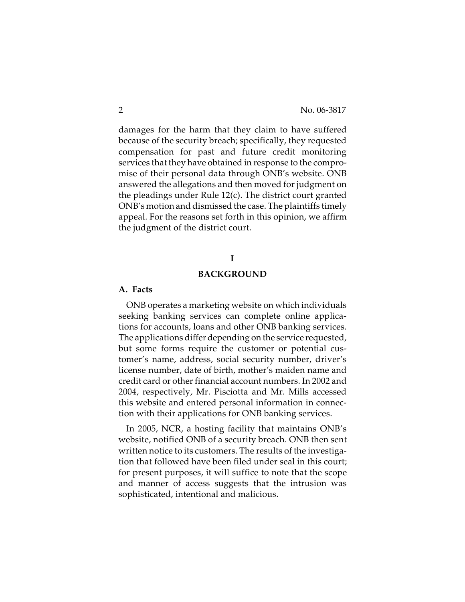damages for the harm that they claim to have suffered because of the security breach; specifically, they requested compensation for past and future credit monitoring services that they have obtained in response to the compromise of their personal data through ONB's website. ONB answered the allegations and then moved for judgment on the pleadings under Rule 12(c). The district court granted ONB's motion and dismissed the case. The plaintiffs timely appeal. For the reasons set forth in this opinion, we affirm the judgment of the district court.

# **I**

#### **BACKGROUND**

#### **A. Facts**

ONB operates a marketing website on which individuals seeking banking services can complete online applications for accounts, loans and other ONB banking services. The applications differ depending on the service requested, but some forms require the customer or potential customer's name, address, social security number, driver's license number, date of birth, mother's maiden name and credit card or other financial account numbers. In 2002 and 2004, respectively, Mr. Pisciotta and Mr. Mills accessed this website and entered personal information in connection with their applications for ONB banking services.

In 2005, NCR, a hosting facility that maintains ONB's website, notified ONB of a security breach. ONB then sent written notice to its customers. The results of the investigation that followed have been filed under seal in this court; for present purposes, it will suffice to note that the scope and manner of access suggests that the intrusion was sophisticated, intentional and malicious.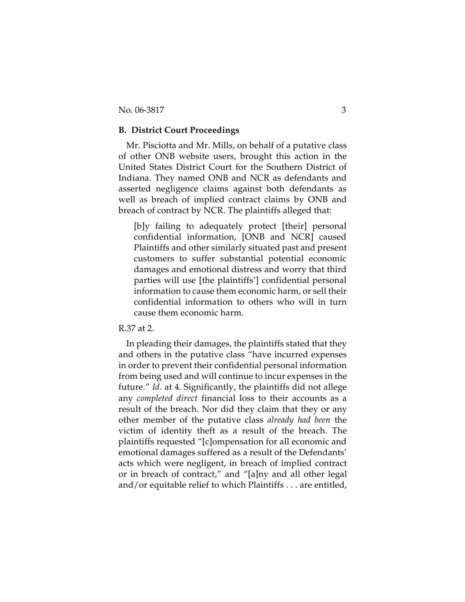#### **B. District Court Proceedings**

Mr. Pisciotta and Mr. Mills, on behalf of a putative class of other ONB website users, brought this action in the United States District Court for the Southern District of Indiana. They named ONB and NCR as defendants and asserted negligence claims against both defendants as well as breach of implied contract claims by ONB and breach of contract by NCR. The plaintiffs alleged that:

[b]y failing to adequately protect [their] personal confidential information, [ONB and NCR] caused Plaintiffs and other similarly situated past and present customers to suffer substantial potential economic damages and emotional distress and worry that third parties will use [the plaintiffs'] confidential personal information to cause them economic harm, or sell their confidential information to others who will in turn cause them economic harm.

#### R.37 at 2.

In pleading their damages, the plaintiffs stated that they and others in the putative class "have incurred expenses in order to prevent their confidential personal information from being used and will continue to incur expenses in the future." *Id.* at 4. Significantly, the plaintiffs did not allege any *completed direct* financial loss to their accounts as a result of the breach. Nor did they claim that they or any other member of the putative class *already had been* the victim of identity theft as a result of the breach. The plaintiffs requested "[c]ompensation for all economic and emotional damages suffered as a result of the Defendants' acts which were negligent, in breach of implied contract or in breach of contract," and "[a]ny and all other legal and/or equitable relief to which Plaintiffs . . . are entitled,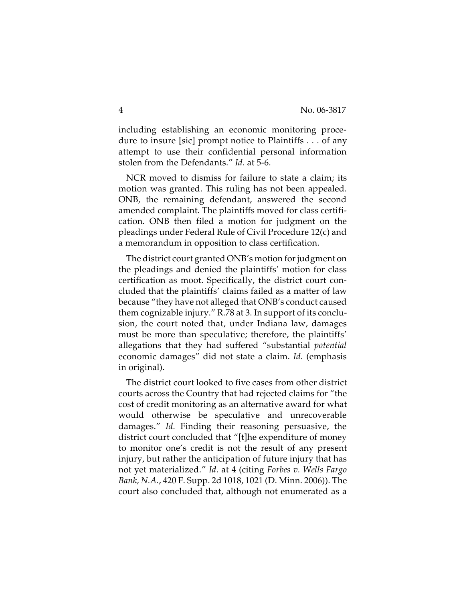including establishing an economic monitoring procedure to insure [sic] prompt notice to Plaintiffs . . . of any attempt to use their confidential personal information stolen from the Defendants." *Id.* at 5-6.

NCR moved to dismiss for failure to state a claim; its motion was granted. This ruling has not been appealed. ONB, the remaining defendant, answered the second amended complaint. The plaintiffs moved for class certification. ONB then filed a motion for judgment on the pleadings under Federal Rule of Civil Procedure 12(c) and a memorandum in opposition to class certification.

The district court granted ONB's motion for judgment on the pleadings and denied the plaintiffs' motion for class certification as moot. Specifically, the district court concluded that the plaintiffs' claims failed as a matter of law because "they have not alleged that ONB's conduct caused them cognizable injury." R.78 at 3. In support of its conclusion, the court noted that, under Indiana law, damages must be more than speculative; therefore, the plaintiffs' allegations that they had suffered "substantial *potential* economic damages" did not state a claim. *Id.* (emphasis in original).

The district court looked to five cases from other district courts across the Country that had rejected claims for "the cost of credit monitoring as an alternative award for what would otherwise be speculative and unrecoverable damages." *Id.* Finding their reasoning persuasive, the district court concluded that "[t]he expenditure of money to monitor one's credit is not the result of any present injury, but rather the anticipation of future injury that has not yet materialized." *Id*. at 4 (citing *Forbes v. Wells Fargo Bank, N.A.*, 420 F. Supp. 2d 1018, 1021 (D. Minn. 2006)). The court also concluded that, although not enumerated as a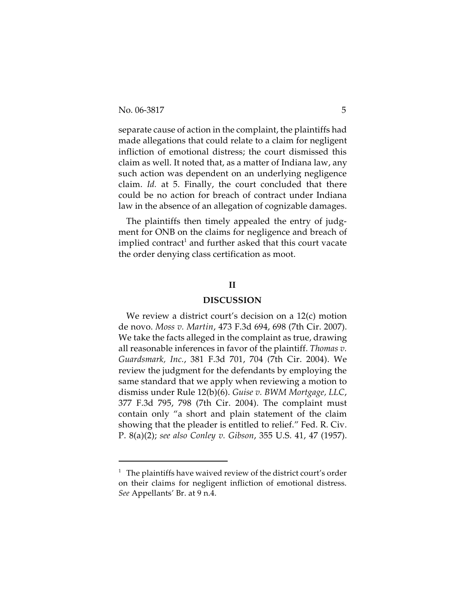separate cause of action in the complaint, the plaintiffs had made allegations that could relate to a claim for negligent infliction of emotional distress; the court dismissed this claim as well. It noted that, as a matter of Indiana law, any such action was dependent on an underlying negligence claim. *Id.* at 5. Finally, the court concluded that there could be no action for breach of contract under Indiana law in the absence of an allegation of cognizable damages.

The plaintiffs then timely appealed the entry of judgment for ONB on the claims for negligence and breach of implied contract $^1$  and further asked that this court vacate the order denying class certification as moot.

#### **II**

#### **DISCUSSION**

We review a district court's decision on a 12(c) motion de novo. *Moss v. Martin*, 473 F.3d 694, 698 (7th Cir. 2007). We take the facts alleged in the complaint as true, drawing all reasonable inferences in favor of the plaintiff. *Thomas v. Guardsmark, Inc.*, 381 F.3d 701, 704 (7th Cir. 2004). We review the judgment for the defendants by employing the same standard that we apply when reviewing a motion to dismiss under Rule 12(b)(6). *Guise v. BWM Mortgage, LLC*, 377 F.3d 795, 798 (7th Cir. 2004). The complaint must contain only "a short and plain statement of the claim showing that the pleader is entitled to relief." Fed. R. Civ. P. 8(a)(2); *see also Conley v. Gibson*, 355 U.S. 41, 47 (1957).

 $1$  The plaintiffs have waived review of the district court's order on their claims for negligent infliction of emotional distress. *See* Appellants' Br. at 9 n.4.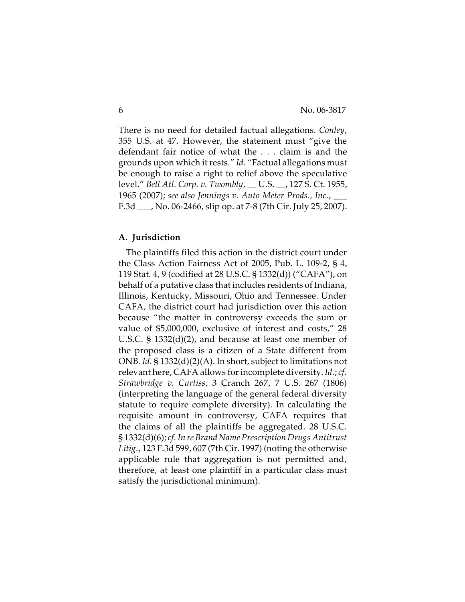There is no need for detailed factual allegations. *Conley*, 355 U.S. at 47. However, the statement must "give the defendant fair notice of what the . . . claim is and the grounds upon which it rests." *Id.* "Factual allegations must be enough to raise a right to relief above the speculative level." *Bell Atl. Corp. v. Twombly*, \_\_ U.S. \_\_, 127 S. Ct. 1955, 1965 (2007); *see also Jennings v. Auto Meter Prods., Inc.*, \_\_\_ F.3d \_\_\_, No. 06-2466, slip op. at 7-8 (7th Cir. July 25, 2007).

#### **A. Jurisdiction**

The plaintiffs filed this action in the district court under the Class Action Fairness Act of 2005, Pub. L. 109-2, § 4, 119 Stat. 4, 9 (codified at 28 U.S.C. § 1332(d)) ("CAFA"), on behalf of a putative class that includes residents of Indiana, Illinois, Kentucky, Missouri, Ohio and Tennessee. Under CAFA, the district court had jurisdiction over this action because "the matter in controversy exceeds the sum or value of \$5,000,000, exclusive of interest and costs," 28 U.S.C. § 1332(d)(2), and because at least one member of the proposed class is a citizen of a State different from ONB. *Id.* § 1332(d)(2)(A). In short, subject to limitations not relevant here, CAFA allows for incomplete diversity. *Id.*; *cf. Strawbridge v. Curtiss*, 3 Cranch 267, 7 U.S. 267 (1806) (interpreting the language of the general federal diversity statute to require complete diversity). In calculating the requisite amount in controversy, CAFA requires that the claims of all the plaintiffs be aggregated. 28 U.S.C. § 1332(d)(6); *cf. In re Brand Name Prescription Drugs Antitrust Litig.*, 123 F.3d 599, 607 (7th Cir. 1997) (noting the otherwise applicable rule that aggregation is not permitted and, therefore, at least one plaintiff in a particular class must satisfy the jurisdictional minimum).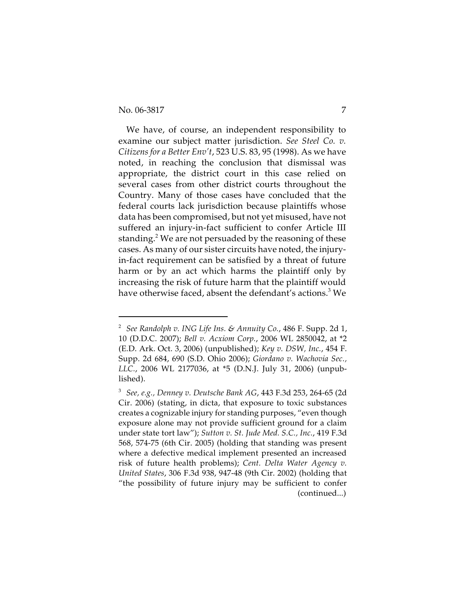### No. 06-3817 7

We have, of course, an independent responsibility to examine our subject matter jurisdiction. *See Steel Co. v. Citizens for a Better Env't*, 523 U.S. 83, 95 (1998). As we have noted, in reaching the conclusion that dismissal was appropriate, the district court in this case relied on several cases from other district courts throughout the Country. Many of those cases have concluded that the federal courts lack jurisdiction because plaintiffs whose data has been compromised, but not yet misused, have not suffered an injury-in-fact sufficient to confer Article III standing.<sup>2</sup> We are not persuaded by the reasoning of these cases. As many of our sister circuits have noted, the injuryin-fact requirement can be satisfied by a threat of future harm or by an act which harms the plaintiff only by increasing the risk of future harm that the plaintiff would have otherwise faced, absent the defendant's actions.<sup>3</sup> We

<sup>2</sup> *See Randolph v. ING Life Ins. & Annuity Co.*, 486 F. Supp. 2d 1, 10 (D.D.C. 2007); *Bell v. Acxiom Corp.*, 2006 WL 2850042, at \*2 (E.D. Ark. Oct. 3, 2006) (unpublished); *Key v. DSW, Inc.*, 454 F. Supp. 2d 684, 690 (S.D. Ohio 2006); *Giordano v. Wachovia Sec., LLC.*, 2006 WL 2177036, at \*5 (D.N.J. July 31, 2006) (unpublished).

<sup>3</sup> *See, e.g., Denney v. Deutsche Bank AG*, 443 F.3d 253, 264-65 (2d Cir. 2006) (stating, in dicta, that exposure to toxic substances creates a cognizable injury for standing purposes, "even though exposure alone may not provide sufficient ground for a claim under state tort law"); *Sutton v. St. Jude Med. S.C., Inc.*, 419 F.3d 568, 574-75 (6th Cir. 2005) (holding that standing was present where a defective medical implement presented an increased risk of future health problems); *Cent. Delta Water Agency v. United States*, 306 F.3d 938, 947-48 (9th Cir. 2002) (holding that "the possibility of future injury may be sufficient to confer (continued...)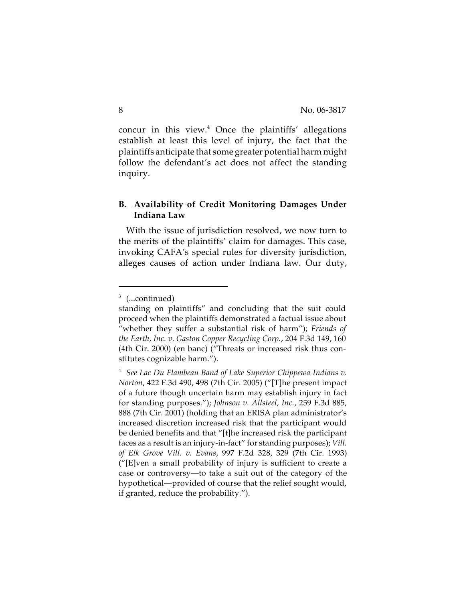concur in this view.<sup>4</sup> Once the plaintiffs' allegations establish at least this level of injury, the fact that the plaintiffs anticipate that some greater potential harm might follow the defendant's act does not affect the standing inquiry.

## **B. Availability of Credit Monitoring Damages Under Indiana Law**

With the issue of jurisdiction resolved, we now turn to the merits of the plaintiffs' claim for damages. This case, invoking CAFA's special rules for diversity jurisdiction, alleges causes of action under Indiana law. Our duty,

 $3$  (...continued)

standing on plaintiffs" and concluding that the suit could proceed when the plaintiffs demonstrated a factual issue about "whether they suffer a substantial risk of harm"); *Friends of the Earth, Inc. v. Gaston Copper Recycling Corp.*, 204 F.3d 149, 160 (4th Cir. 2000) (en banc) ("Threats or increased risk thus constitutes cognizable harm.").

<sup>4</sup> *See Lac Du Flambeau Band of Lake Superior Chippewa Indians v. Norton*, 422 F.3d 490, 498 (7th Cir. 2005) ("[T]he present impact of a future though uncertain harm may establish injury in fact for standing purposes."); *Johnson v. Allsteel, Inc.*, 259 F.3d 885, 888 (7th Cir. 2001) (holding that an ERISA plan administrator's increased discretion increased risk that the participant would be denied benefits and that "[t]he increased risk the participant faces as a result is an injury-in-fact" for standing purposes); *Vill. of Elk Grove Vill. v. Evans*, 997 F.2d 328, 329 (7th Cir. 1993) ("[E]ven a small probability of injury is sufficient to create a case or controversy—to take a suit out of the category of the hypothetical—provided of course that the relief sought would, if granted, reduce the probability.").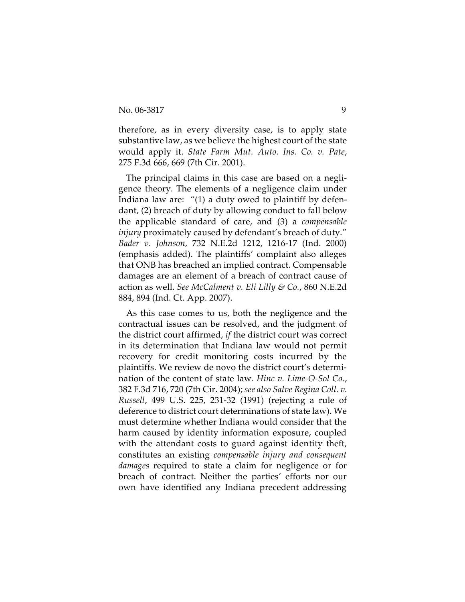therefore, as in every diversity case, is to apply state substantive law, as we believe the highest court of the state would apply it. *State Farm Mut. Auto. Ins. Co. v. Pate*, 275 F.3d 666, 669 (7th Cir. 2001).

The principal claims in this case are based on a negligence theory. The elements of a negligence claim under Indiana law are: "(1) a duty owed to plaintiff by defendant, (2) breach of duty by allowing conduct to fall below the applicable standard of care, and (3) a *compensable injury* proximately caused by defendant's breach of duty." *Bader v. Johnson,* 732 N.E.2d 1212, 1216-17 (Ind. 2000) (emphasis added). The plaintiffs' complaint also alleges that ONB has breached an implied contract. Compensable damages are an element of a breach of contract cause of action as well. *See McCalment v. Eli Lilly & Co.*, 860 N.E.2d 884, 894 (Ind. Ct. App. 2007).

As this case comes to us, both the negligence and the contractual issues can be resolved, and the judgment of the district court affirmed, *if* the district court was correct in its determination that Indiana law would not permit recovery for credit monitoring costs incurred by the plaintiffs. We review de novo the district court's determination of the content of state law. *Hinc v. Lime-O-Sol Co.*, 382 F.3d 716, 720 (7th Cir. 2004); *see also Salve Regina Coll. v. Russell*, 499 U.S. 225, 231-32 (1991) (rejecting a rule of deference to district court determinations of state law). We must determine whether Indiana would consider that the harm caused by identity information exposure, coupled with the attendant costs to guard against identity theft, constitutes an existing *compensable injury and consequent damages* required to state a claim for negligence or for breach of contract. Neither the parties' efforts nor our own have identified any Indiana precedent addressing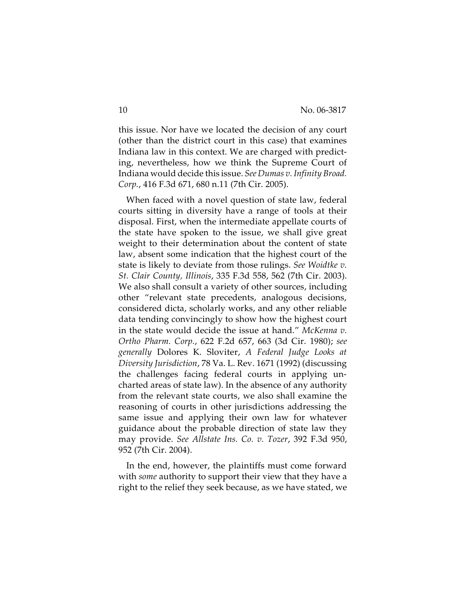this issue. Nor have we located the decision of any court (other than the district court in this case) that examines Indiana law in this context. We are charged with predicting, nevertheless, how we think the Supreme Court of Indiana would decide this issue. *See Dumas v. Infinity Broad. Corp.*, 416 F.3d 671, 680 n.11 (7th Cir. 2005).

When faced with a novel question of state law, federal courts sitting in diversity have a range of tools at their disposal. First, when the intermediate appellate courts of the state have spoken to the issue, we shall give great weight to their determination about the content of state law, absent some indication that the highest court of the state is likely to deviate from those rulings. *See Woidtke v. St. Clair County, Illinois*, 335 F.3d 558, 562 (7th Cir. 2003). We also shall consult a variety of other sources, including other "relevant state precedents, analogous decisions, considered dicta, scholarly works, and any other reliable data tending convincingly to show how the highest court in the state would decide the issue at hand." *McKenna v. Ortho Pharm. Corp.*, 622 F.2d 657, 663 (3d Cir. 1980); *see generally* Dolores K. Sloviter, *A Federal Judge Looks at Diversity Jurisdiction*, 78 Va. L. Rev. 1671 (1992) (discussing the challenges facing federal courts in applying uncharted areas of state law). In the absence of any authority from the relevant state courts, we also shall examine the reasoning of courts in other jurisdictions addressing the same issue and applying their own law for whatever guidance about the probable direction of state law they may provide. *See Allstate Ins. Co. v. Tozer*, 392 F.3d 950, 952 (7th Cir. 2004).

In the end, however, the plaintiffs must come forward with *some* authority to support their view that they have a right to the relief they seek because, as we have stated, we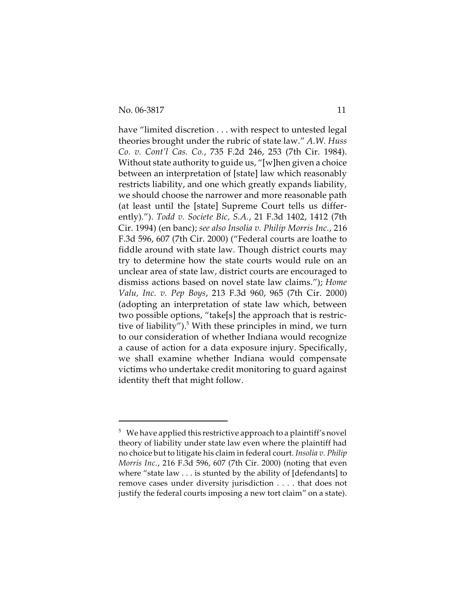have "limited discretion . . . with respect to untested legal theories brought under the rubric of state law." *A.W. Huss Co. v. Cont'l Cas. Co.*, 735 F.2d 246, 253 (7th Cir. 1984). Without state authority to guide us, "[w]hen given a choice between an interpretation of [state] law which reasonably restricts liability, and one which greatly expands liability, we should choose the narrower and more reasonable path (at least until the [state] Supreme Court tells us differently)."). *Todd v. Societe Bic, S.A.*, 21 F.3d 1402, 1412 (7th Cir. 1994) (en banc); *see also Insolia v. Philip Morris Inc.*, 216 F.3d 596, 607 (7th Cir. 2000) ("Federal courts are loathe to fiddle around with state law. Though district courts may try to determine how the state courts would rule on an unclear area of state law, district courts are encouraged to dismiss actions based on novel state law claims."); *Home Valu, Inc. v. Pep Boys*, 213 F.3d 960, 965 (7th Cir. 2000) (adopting an interpretation of state law which, between two possible options, "take[s] the approach that is restrictive of liability"). $5$  With these principles in mind, we turn to our consideration of whether Indiana would recognize a cause of action for a data exposure injury. Specifically, we shall examine whether Indiana would compensate victims who undertake credit monitoring to guard against identity theft that might follow.

 $5$  We have applied this restrictive approach to a plaintiff's novel theory of liability under state law even where the plaintiff had no choice but to litigate his claim in federal court. *Insolia v. Philip Morris Inc.*, 216 F.3d 596, 607 (7th Cir. 2000) (noting that even where "state law . . . is stunted by the ability of [defendants] to remove cases under diversity jurisdiction . . . . that does not justify the federal courts imposing a new tort claim" on a state).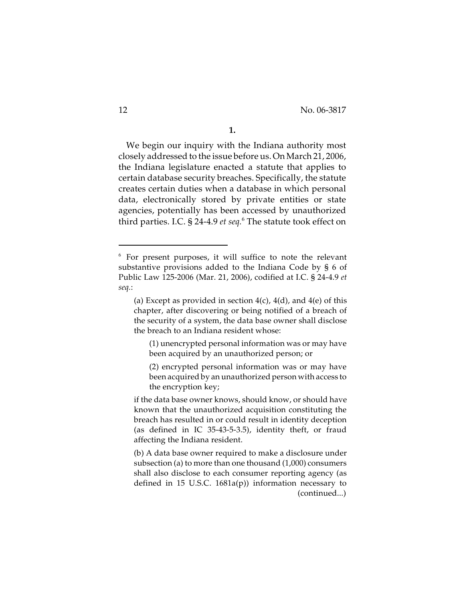**1.**

We begin our inquiry with the Indiana authority most closely addressed to the issue before us. On March 21, 2006, the Indiana legislature enacted a statute that applies to certain database security breaches. Specifically, the statute creates certain duties when a database in which personal data, electronically stored by private entities or state agencies, potentially has been accessed by unauthorized third parties. I.C. § 24-4.9 *et seq.*<sup>6</sup> The statute took effect on

<sup>6</sup> For present purposes, it will suffice to note the relevant substantive provisions added to the Indiana Code by § 6 of Public Law 125-2006 (Mar. 21, 2006), codified at I.C. § 24-4.9 *et seq.*:

<sup>(</sup>a) Except as provided in section  $4(c)$ ,  $4(d)$ , and  $4(e)$  of this chapter, after discovering or being notified of a breach of the security of a system, the data base owner shall disclose the breach to an Indiana resident whose:

<sup>(1)</sup> unencrypted personal information was or may have been acquired by an unauthorized person; or

<sup>(2)</sup> encrypted personal information was or may have been acquired by an unauthorized person with access to the encryption key;

if the data base owner knows, should know, or should have known that the unauthorized acquisition constituting the breach has resulted in or could result in identity deception (as defined in IC 35-43-5-3.5), identity theft, or fraud affecting the Indiana resident.

<sup>(</sup>b) A data base owner required to make a disclosure under subsection (a) to more than one thousand (1,000) consumers shall also disclose to each consumer reporting agency (as defined in 15 U.S.C. 1681a(p)) information necessary to (continued...)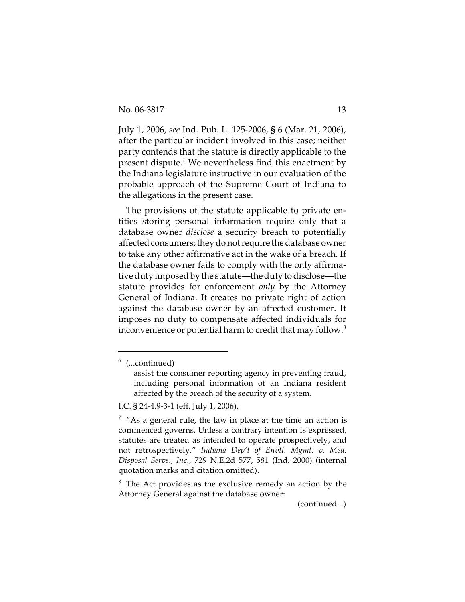July 1, 2006, *see* Ind. Pub. L. 125-2006, § 6 (Mar. 21, 2006), after the particular incident involved in this case; neither party contends that the statute is directly applicable to the present dispute.<sup>7</sup> We nevertheless find this enactment by the Indiana legislature instructive in our evaluation of the probable approach of the Supreme Court of Indiana to the allegations in the present case.

The provisions of the statute applicable to private entities storing personal information require only that a database owner *disclose* a security breach to potentially affected consumers; they do not require the database owner to take any other affirmative act in the wake of a breach. If the database owner fails to comply with the only affirmative duty imposed by the statute—the duty to disclose—the statute provides for enforcement *only* by the Attorney General of Indiana. It creates no private right of action against the database owner by an affected customer. It imposes no duty to compensate affected individuals for inconvenience or potential harm to credit that may follow.<sup>8</sup>

I.C. § 24-4.9-3-1 (eff. July 1, 2006).

(continued...)

 $6$  (...continued)

assist the consumer reporting agency in preventing fraud, including personal information of an Indiana resident affected by the breach of the security of a system.

 $7$  "As a general rule, the law in place at the time an action is commenced governs. Unless a contrary intention is expressed, statutes are treated as intended to operate prospectively, and not retrospectively." *Indiana Dep't of Envtl. Mgmt. v. Med. Disposal Servs., Inc.*, 729 N.E.2d 577, 581 (Ind. 2000) (internal quotation marks and citation omitted).

<sup>&</sup>lt;sup>8</sup> The Act provides as the exclusive remedy an action by the Attorney General against the database owner: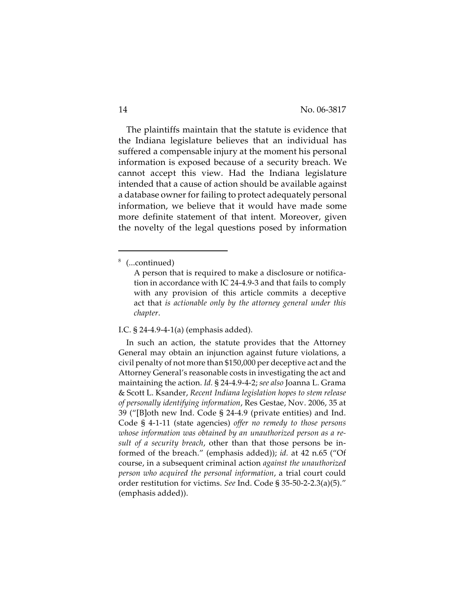The plaintiffs maintain that the statute is evidence that the Indiana legislature believes that an individual has suffered a compensable injury at the moment his personal information is exposed because of a security breach. We cannot accept this view. Had the Indiana legislature intended that a cause of action should be available against a database owner for failing to protect adequately personal information, we believe that it would have made some more definite statement of that intent. Moreover, given the novelty of the legal questions posed by information

#### I.C. § 24-4.9-4-1(a) (emphasis added).

In such an action, the statute provides that the Attorney General may obtain an injunction against future violations, a civil penalty of not more than \$150,000 per deceptive act and the Attorney General's reasonable costs in investigating the act and maintaining the action. *Id.* § 24-4.9-4-2; *see also* Joanna L. Grama & Scott L. Ksander, *Recent Indiana legislation hopes to stem release of personally identifying information*, Res Gestae, Nov. 2006, 35 at 39 ("[B]oth new Ind. Code § 24-4.9 (private entities) and Ind. Code § 4-1-11 (state agencies) *offer no remedy to those persons whose information was obtained by an unauthorized person as a result of a security breach*, other than that those persons be informed of the breach." (emphasis added)); *id.* at 42 n.65 ("Of course, in a subsequent criminal action *against the unauthorized person who acquired the personal information*, a trial court could order restitution for victims. *See* Ind. Code § 35-50-2-2.3(a)(5)." (emphasis added)).

<sup>8</sup> (...continued)

A person that is required to make a disclosure or notification in accordance with IC 24-4.9-3 and that fails to comply with any provision of this article commits a deceptive act that *is actionable only by the attorney general under this chapter*.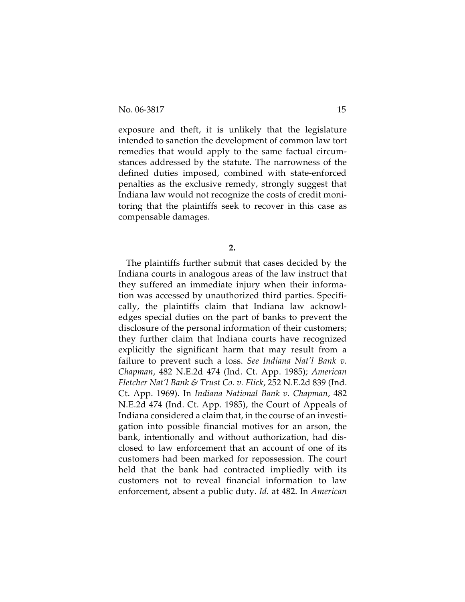exposure and theft, it is unlikely that the legislature intended to sanction the development of common law tort remedies that would apply to the same factual circumstances addressed by the statute. The narrowness of the defined duties imposed, combined with state-enforced penalties as the exclusive remedy, strongly suggest that Indiana law would not recognize the costs of credit monitoring that the plaintiffs seek to recover in this case as compensable damages.

**2.**

The plaintiffs further submit that cases decided by the Indiana courts in analogous areas of the law instruct that they suffered an immediate injury when their information was accessed by unauthorized third parties. Specifically, the plaintiffs claim that Indiana law acknowledges special duties on the part of banks to prevent the disclosure of the personal information of their customers; they further claim that Indiana courts have recognized explicitly the significant harm that may result from a failure to prevent such a loss. *See Indiana Nat'l Bank v. Chapman*, 482 N.E.2d 474 (Ind. Ct. App. 1985); *American Fletcher Nat'l Bank & Trust Co. v. Flick*, 252 N.E.2d 839 (Ind. Ct. App. 1969). In *Indiana National Bank v. Chapman*, 482 N.E.2d 474 (Ind. Ct. App. 1985), the Court of Appeals of Indiana considered a claim that, in the course of an investigation into possible financial motives for an arson, the bank, intentionally and without authorization, had disclosed to law enforcement that an account of one of its customers had been marked for repossession. The court held that the bank had contracted impliedly with its customers not to reveal financial information to law enforcement, absent a public duty. *Id.* at 482. In *American*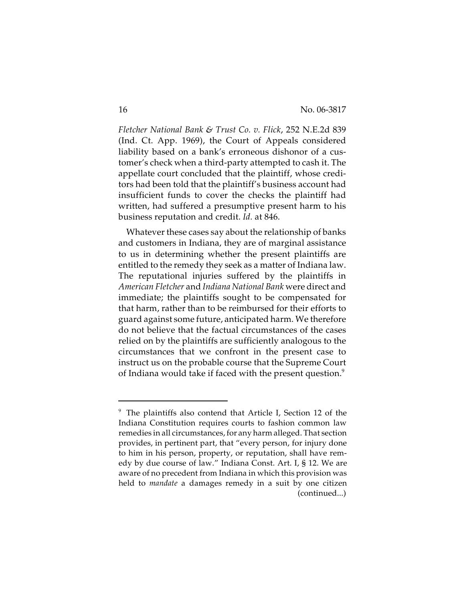*Fletcher National Bank & Trust Co. v. Flick*, 252 N.E.2d 839 (Ind. Ct. App. 1969), the Court of Appeals considered liability based on a bank's erroneous dishonor of a customer's check when a third-party attempted to cash it. The appellate court concluded that the plaintiff, whose creditors had been told that the plaintiff's business account had insufficient funds to cover the checks the plaintiff had written, had suffered a presumptive present harm to his business reputation and credit. *Id.* at 846.

Whatever these cases say about the relationship of banks and customers in Indiana, they are of marginal assistance to us in determining whether the present plaintiffs are entitled to the remedy they seek as a matter of Indiana law. The reputational injuries suffered by the plaintiffs in *American Fletcher* and *Indiana National Bank* were direct and immediate; the plaintiffs sought to be compensated for that harm, rather than to be reimbursed for their efforts to guard against some future, anticipated harm. We therefore do not believe that the factual circumstances of the cases relied on by the plaintiffs are sufficiently analogous to the circumstances that we confront in the present case to instruct us on the probable course that the Supreme Court of Indiana would take if faced with the present question.<sup>9</sup>

<sup>&</sup>lt;sup>9</sup> The plaintiffs also contend that Article I, Section 12 of the Indiana Constitution requires courts to fashion common law remedies in all circumstances, for any harm alleged. That section provides, in pertinent part, that "every person, for injury done to him in his person, property, or reputation, shall have remedy by due course of law." Indiana Const. Art. I, § 12. We are aware of no precedent from Indiana in which this provision was held to *mandate* a damages remedy in a suit by one citizen (continued...)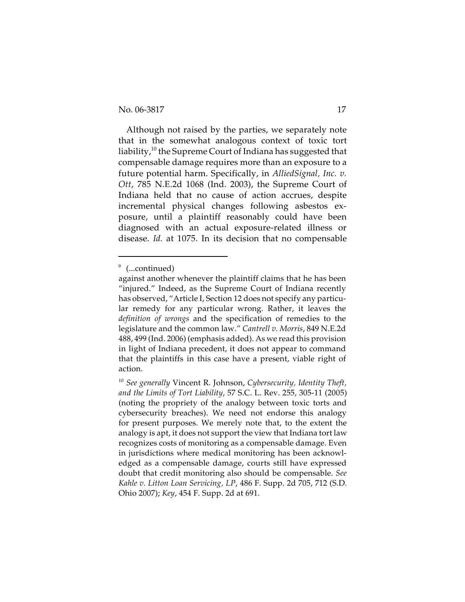Although not raised by the parties, we separately note that in the somewhat analogous context of toxic tort liability, $10$ <sup>th</sup> the Supreme Court of Indiana has suggested that compensable damage requires more than an exposure to a future potential harm. Specifically, in *AlliedSignal, Inc. v. Ott*, 785 N.E.2d 1068 (Ind. 2003), the Supreme Court of Indiana held that no cause of action accrues, despite incremental physical changes following asbestos exposure, until a plaintiff reasonably could have been diagnosed with an actual exposure-related illness or disease. *Id.* at 1075. In its decision that no compensable

 $9$  (...continued)

against another whenever the plaintiff claims that he has been "injured." Indeed, as the Supreme Court of Indiana recently has observed, "Article I, Section 12 does not specify any particular remedy for any particular wrong. Rather, it leaves the *definition of wrongs* and the specification of remedies to the legislature and the common law." *Cantrell v. Morris*, 849 N.E.2d 488, 499 (Ind. 2006) (emphasis added). As we read this provision in light of Indiana precedent, it does not appear to command that the plaintiffs in this case have a present, viable right of action.

<sup>10</sup> *See generally* Vincent R. Johnson, *Cybersecurity, Identity Theft, and the Limits of Tort Liability*, 57 S.C. L. Rev. 255, 305-11 (2005) (noting the propriety of the analogy between toxic torts and cybersecurity breaches). We need not endorse this analogy for present purposes. We merely note that, to the extent the analogy is apt, it does not support the view that Indiana tort law recognizes costs of monitoring as a compensable damage. Even in jurisdictions where medical monitoring has been acknowledged as a compensable damage, courts still have expressed doubt that credit monitoring also should be compensable. *See Kahle v. Litton Loan Servicing, LP*, 486 F. Supp. 2d 705, 712 (S.D. Ohio 2007); *Key*, 454 F. Supp. 2d at 691.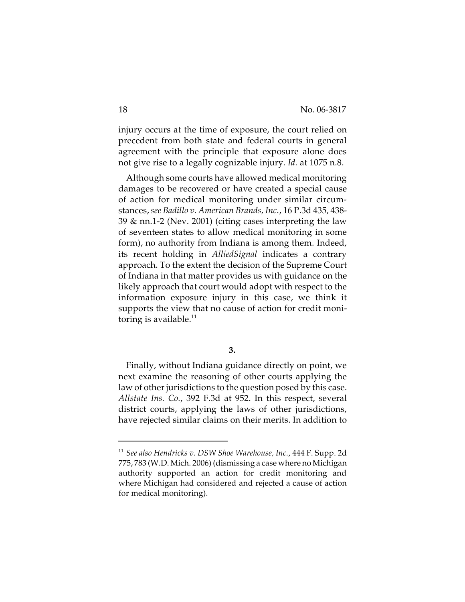injury occurs at the time of exposure, the court relied on precedent from both state and federal courts in general agreement with the principle that exposure alone does not give rise to a legally cognizable injury. *Id.* at 1075 n.8.

Although some courts have allowed medical monitoring damages to be recovered or have created a special cause of action for medical monitoring under similar circumstances, *see Badillo v. American Brands, Inc.*, 16 P.3d 435, 438- 39 & nn.1-2 (Nev. 2001) (citing cases interpreting the law of seventeen states to allow medical monitoring in some form), no authority from Indiana is among them. Indeed, its recent holding in *AlliedSignal* indicates a contrary approach. To the extent the decision of the Supreme Court of Indiana in that matter provides us with guidance on the likely approach that court would adopt with respect to the information exposure injury in this case, we think it supports the view that no cause of action for credit monitoring is available. $^{11}$ 

**3.**

Finally, without Indiana guidance directly on point, we next examine the reasoning of other courts applying the law of other jurisdictions to the question posed by this case. *Allstate Ins. Co.*, 392 F.3d at 952. In this respect, several district courts, applying the laws of other jurisdictions, have rejected similar claims on their merits. In addition to

<sup>11</sup> *See also Hendricks v. DSW Shoe Warehouse, Inc.*, 444 F. Supp. 2d 775, 783 (W.D. Mich. 2006) (dismissing a case where no Michigan authority supported an action for credit monitoring and where Michigan had considered and rejected a cause of action for medical monitoring).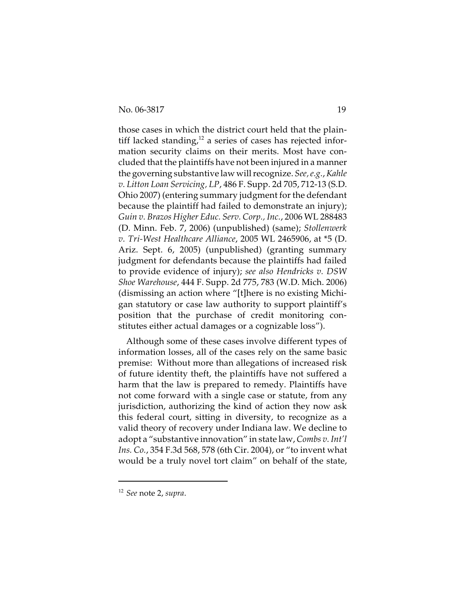those cases in which the district court held that the plaintiff lacked standing, $12$  a series of cases has rejected information security claims on their merits. Most have concluded that the plaintiffs have not been injured in a manner the governing substantive law will recognize. *See, e.g.*, *Kahle v. Litton Loan Servicing, LP*, 486 F. Supp. 2d 705, 712-13 (S.D. Ohio 2007) (entering summary judgment for the defendant because the plaintiff had failed to demonstrate an injury); *Guin v. Brazos Higher Educ. Serv. Corp., Inc.*, 2006 WL 288483 (D. Minn. Feb. 7, 2006) (unpublished) (same); *Stollenwerk v. Tri-West Healthcare Alliance*, 2005 WL 2465906, at \*5 (D. Ariz. Sept. 6, 2005) (unpublished) (granting summary judgment for defendants because the plaintiffs had failed to provide evidence of injury); *see also Hendricks v. DSW Shoe Warehouse*, 444 F. Supp. 2d 775, 783 (W.D. Mich. 2006) (dismissing an action where "[t]here is no existing Michigan statutory or case law authority to support plaintiff's position that the purchase of credit monitoring constitutes either actual damages or a cognizable loss").

Although some of these cases involve different types of information losses, all of the cases rely on the same basic premise: Without more than allegations of increased risk of future identity theft, the plaintiffs have not suffered a harm that the law is prepared to remedy. Plaintiffs have not come forward with a single case or statute, from any jurisdiction, authorizing the kind of action they now ask this federal court, sitting in diversity, to recognize as a valid theory of recovery under Indiana law. We decline to adopt a "substantive innovation" in state law, *Combs v. Int'l Ins. Co.*, 354 F.3d 568, 578 (6th Cir. 2004), or "to invent what would be a truly novel tort claim" on behalf of the state,

<sup>12</sup> *See* note 2, *supra*.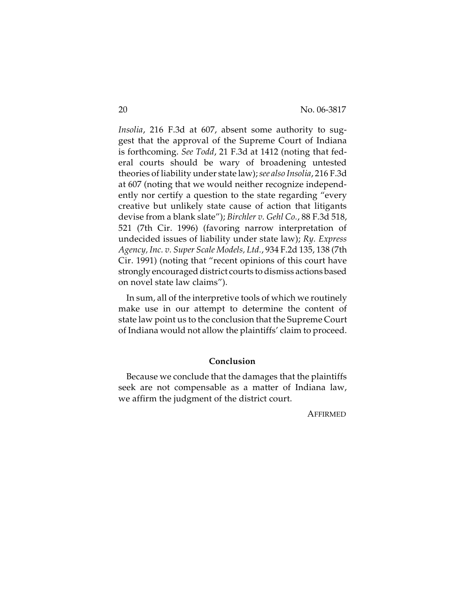*Insolia*, 216 F.3d at 607, absent some authority to suggest that the approval of the Supreme Court of Indiana is forthcoming. *See Todd*, 21 F.3d at 1412 (noting that federal courts should be wary of broadening untested theories of liability under state law); *see also Insolia*, 216 F.3d at 607 (noting that we would neither recognize independently nor certify a question to the state regarding "every creative but unlikely state cause of action that litigants devise from a blank slate"); *Birchler v. Gehl Co.*, 88 F.3d 518, 521 (7th Cir. 1996) (favoring narrow interpretation of undecided issues of liability under state law); *Ry. Express Agency, Inc. v. Super Scale Models, Ltd.*, 934 F.2d 135, 138 (7th Cir. 1991) (noting that "recent opinions of this court have strongly encouraged district courts to dismiss actions based on novel state law claims").

In sum, all of the interpretive tools of which we routinely make use in our attempt to determine the content of state law point us to the conclusion that the Supreme Court of Indiana would not allow the plaintiffs' claim to proceed.

#### **Conclusion**

Because we conclude that the damages that the plaintiffs seek are not compensable as a matter of Indiana law, we affirm the judgment of the district court.

AFFIRMED